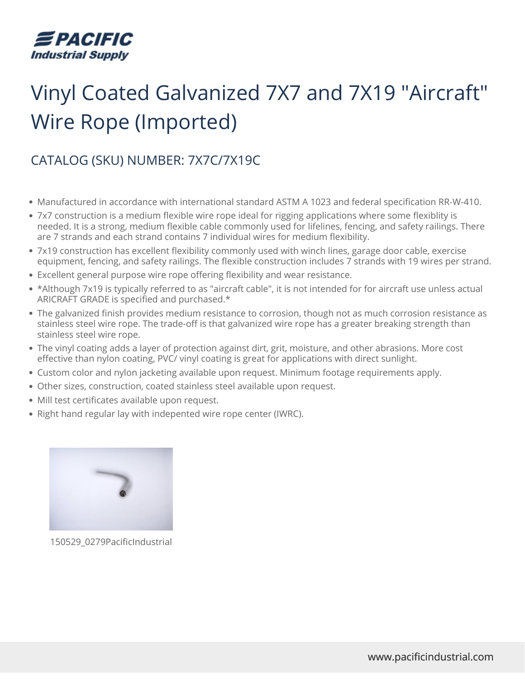

## Vinyl Coated Galvanized 7X7 and 7X19 "Aircraft" Wire Rope (Imported)

## CATALOG (SKU) NUMBER: 7X7C/7X19C

- Manufactured in accordance with international standard ASTM A 1023 and federal specification RR-W-410.
- 7x7 construction is a medium flexible wire rope ideal for rigging applications where some flexiblity is needed. It is a strong, medium flexible cable commonly used for lifelines, fencing, and safety railings. There are 7 strands and each strand contains 7 individual wires for medium flexibility.
- 7x19 construction has excellent flexibility commonly used with winch lines, garage door cable, exercise equipment, fencing, and safety railings. The flexible construction includes 7 strands with 19 wires per strand.
- Excellent general purpose wire rope offering flexibility and wear resistance.
- \*Although 7x19 is typically referred to as "aircraft cable", it is not intended for for aircraft use unless actual ARICRAFT GRADE is specified and purchased.\*
- The galvanized finish provides medium resistance to corrosion, though not as much corrosion resistance as stainless steel wire rope. The trade-off is that galvanized wire rope has a greater breaking strength than stainless steel wire rope.
- The vinyl coating adds a layer of protection against dirt, grit, moisture, and other abrasions. More cost effective than nylon coating, PVC/ vinyl coating is great for applications with direct sunlight.
- Custom color and nylon jacketing available upon request. Minimum footage requirements apply.
- Other sizes, construction, coated stainless steel available upon request.
- Mill test certificates available upon request.
- Right hand regular lay with indepented wire rope center (IWRC).



150529\_0279PacificIndustrial